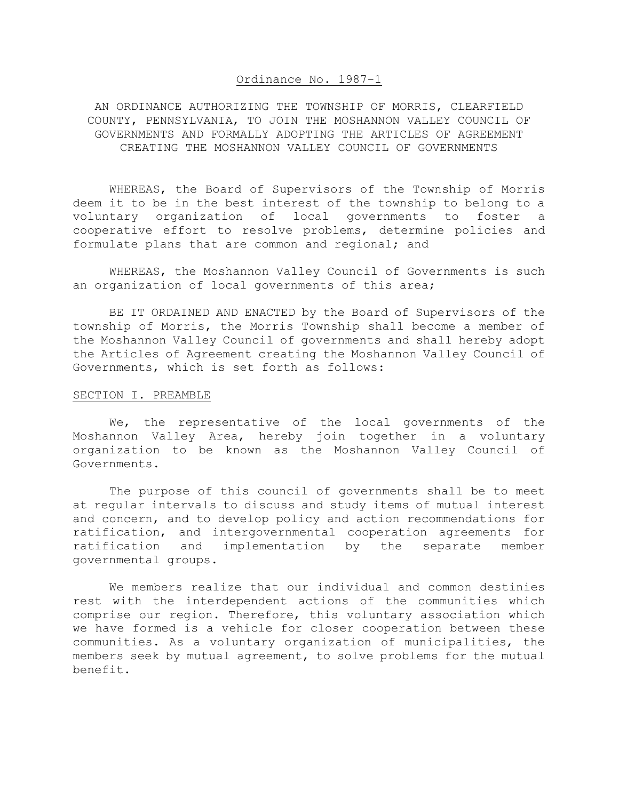## Ordinance No. 1987-1

AN ORDINANCE AUTHORIZING THE TOWNSHIP OF MORRIS, CLEARFIELD COUNTY, PENNSYLVANIA, TO JOIN THE MOSHANNON VALLEY COUNCIL OF GOVERNMENTS AND FORMALLY ADOPTING THE ARTICLES OF AGREEMENT CREATING THE MOSHANNON VALLEY COUNCIL OF GOVERNMENTS

 WHEREAS, the Board of Supervisors of the Township of Morris deem it to be in the best interest of the township to belong to a voluntary organization of local governments to foster a cooperative effort to resolve problems, determine policies and formulate plans that are common and regional; and

 WHEREAS, the Moshannon Valley Council of Governments is such an organization of local governments of this area;

 BE IT ORDAINED AND ENACTED by the Board of Supervisors of the township of Morris, the Morris Township shall become a member of the Moshannon Valley Council of governments and shall hereby adopt the Articles of Agreement creating the Moshannon Valley Council of Governments, which is set forth as follows:

## SECTION I. PREAMBLE

We, the representative of the local governments of the Moshannon Valley Area, hereby join together in a voluntary organization to be known as the Moshannon Valley Council of Governments.

 The purpose of this council of governments shall be to meet at regular intervals to discuss and study items of mutual interest and concern, and to develop policy and action recommendations for ratification, and intergovernmental cooperation agreements for ratification and implementation by the separate member governmental groups.

 We members realize that our individual and common destinies rest with the interdependent actions of the communities which comprise our region. Therefore, this voluntary association which we have formed is a vehicle for closer cooperation between these communities. As a voluntary organization of municipalities, the members seek by mutual agreement, to solve problems for the mutual benefit.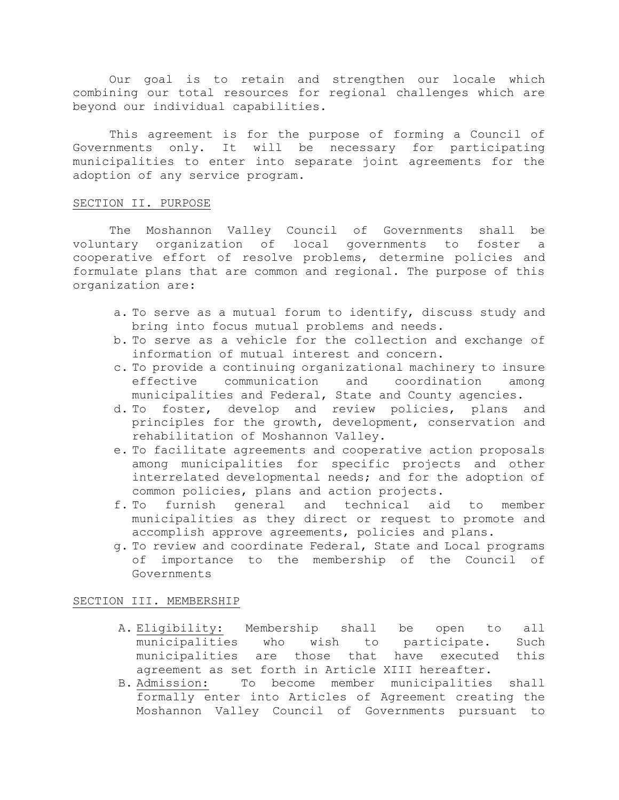Our goal is to retain and strengthen our locale which combining our total resources for regional challenges which are beyond our individual capabilities.

 This agreement is for the purpose of forming a Council of Governments only. It will be necessary for participating municipalities to enter into separate joint agreements for the adoption of any service program.

#### SECTION II. PURPOSE

 The Moshannon Valley Council of Governments shall be voluntary organization of local governments to foster a cooperative effort of resolve problems, determine policies and formulate plans that are common and regional. The purpose of this organization are:

- a. To serve as a mutual forum to identify, discuss study and bring into focus mutual problems and needs.
- b. To serve as a vehicle for the collection and exchange of information of mutual interest and concern.
- c. To provide a continuing organizational machinery to insure effective communication and coordination among municipalities and Federal, State and County agencies.
- d. To foster, develop and review policies, plans and principles for the growth, development, conservation and rehabilitation of Moshannon Valley.
- e. To facilitate agreements and cooperative action proposals among municipalities for specific projects and other interrelated developmental needs; and for the adoption of common policies, plans and action projects.
- f. To furnish general and technical aid to member municipalities as they direct or request to promote and accomplish approve agreements, policies and plans.
- g. To review and coordinate Federal, State and Local programs of importance to the membership of the Council of Governments

#### SECTION III. MEMBERSHIP

- A. Eligibility: Membership shall be open to all municipalities who wish to participate. Such municipalities are those that have executed this agreement as set forth in Article XIII hereafter.
- B. Admission: To become member municipalities shall formally enter into Articles of Agreement creating the Moshannon Valley Council of Governments pursuant to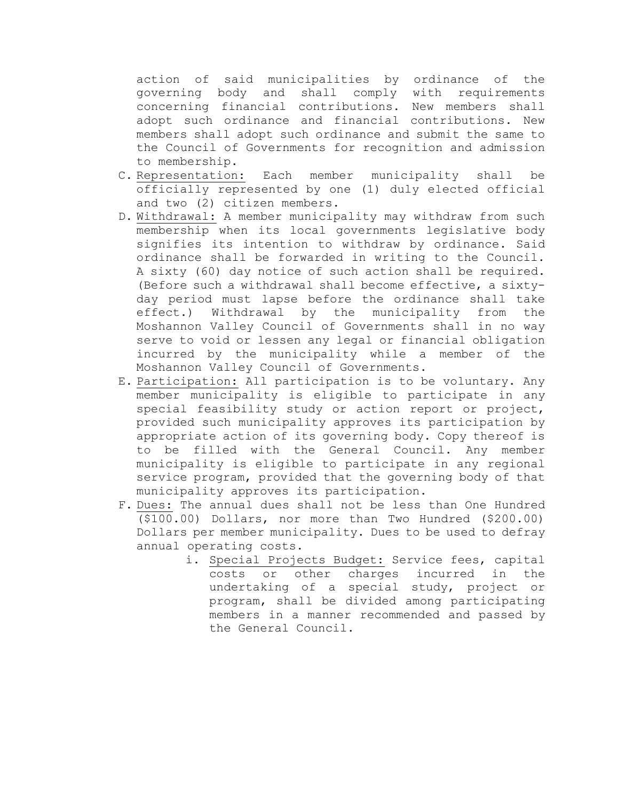action of said municipalities by ordinance of the governing body and shall comply with requirements concerning financial contributions. New members shall adopt such ordinance and financial contributions. New members shall adopt such ordinance and submit the same to the Council of Governments for recognition and admission to membership.

- C. Representation: Each member municipality shall be officially represented by one (1) duly elected official and two (2) citizen members.
- D. Withdrawal: A member municipality may withdraw from such membership when its local governments legislative body signifies its intention to withdraw by ordinance. Said ordinance shall be forwarded in writing to the Council. A sixty (60) day notice of such action shall be required. (Before such a withdrawal shall become effective, a sixtyday period must lapse before the ordinance shall take effect.) Withdrawal by the municipality from the Moshannon Valley Council of Governments shall in no way serve to void or lessen any legal or financial obligation incurred by the municipality while a member of the Moshannon Valley Council of Governments.
- E. Participation: All participation is to be voluntary. Any member municipality is eligible to participate in any special feasibility study or action report or project, provided such municipality approves its participation by appropriate action of its governing body. Copy thereof is to be filled with the General Council. Any member municipality is eligible to participate in any regional service program, provided that the governing body of that municipality approves its participation.
- F. Dues: The annual dues shall not be less than One Hundred (\$100.00) Dollars, nor more than Two Hundred (\$200.00) Dollars per member municipality. Dues to be used to defray annual operating costs.
	- i. Special Projects Budget: Service fees, capital costs or other charges incurred in the undertaking of a special study, project or program, shall be divided among participating members in a manner recommended and passed by the General Council.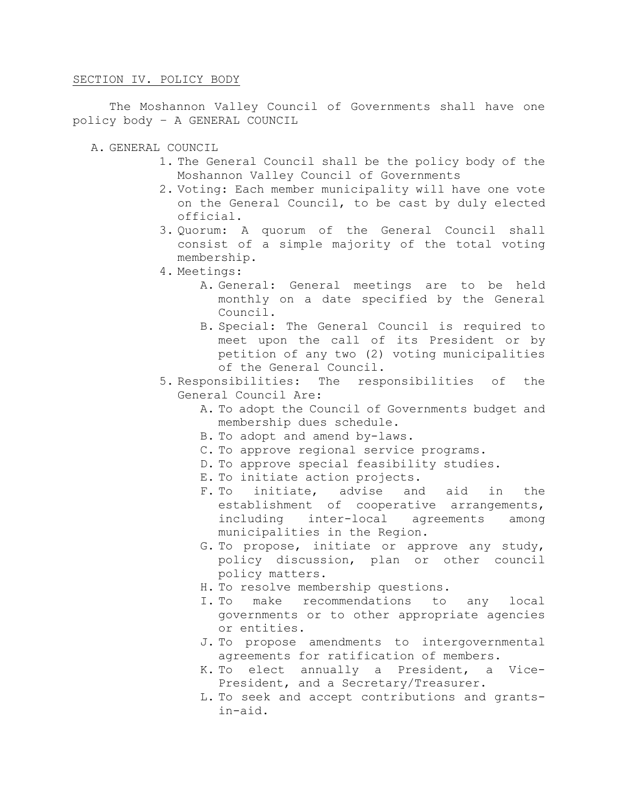## SECTION IV. POLICY BODY

 The Moshannon Valley Council of Governments shall have one policy body – A GENERAL COUNCIL

- A. GENERAL COUNCIL
	- 1. The General Council shall be the policy body of the Moshannon Valley Council of Governments
	- 2. Voting: Each member municipality will have one vote on the General Council, to be cast by duly elected official.
	- 3. Quorum: A quorum of the General Council shall consist of a simple majority of the total voting membership.
	- 4. Meetings:
		- A. General: General meetings are to be held monthly on a date specified by the General Council.
		- B. Special: The General Council is required to meet upon the call of its President or by petition of any two (2) voting municipalities of the General Council.
	- 5. Responsibilities: The responsibilities of the General Council Are:
		- A. To adopt the Council of Governments budget and membership dues schedule.
		- B. To adopt and amend by-laws.
		- C. To approve regional service programs.
		- D. To approve special feasibility studies.
		- E. To initiate action projects.
		- F. To initiate, advise and aid in the establishment of cooperative arrangements, including inter-local agreements among municipalities in the Region.
		- G. To propose, initiate or approve any study, policy discussion, plan or other council policy matters.
		- H. To resolve membership questions.
		- I. To make recommendations to any local governments or to other appropriate agencies or entities.
		- J. To propose amendments to intergovernmental agreements for ratification of members.
		- K. To elect annually a President, a Vice-President, and a Secretary/Treasurer.
		- L. To seek and accept contributions and grantsin-aid.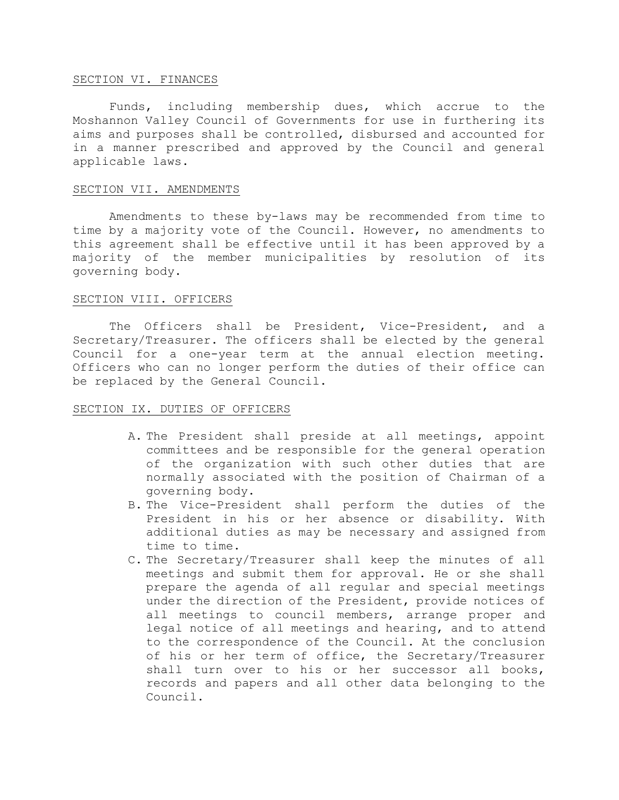#### SECTION VI. FINANCES

Funds, including membership dues, which accrue to the Moshannon Valley Council of Governments for use in furthering its aims and purposes shall be controlled, disbursed and accounted for in a manner prescribed and approved by the Council and general applicable laws.

# SECTION VII. AMENDMENTS

 Amendments to these by-laws may be recommended from time to time by a majority vote of the Council. However, no amendments to this agreement shall be effective until it has been approved by a majority of the member municipalities by resolution of its governing body.

# SECTION VIII. OFFICERS

 The Officers shall be President, Vice-President, and a Secretary/Treasurer. The officers shall be elected by the general Council for a one-year term at the annual election meeting. Officers who can no longer perform the duties of their office can be replaced by the General Council.

#### SECTION IX. DUTIES OF OFFICERS

- A. The President shall preside at all meetings, appoint committees and be responsible for the general operation of the organization with such other duties that are normally associated with the position of Chairman of a governing body.
- B. The Vice-President shall perform the duties of the President in his or her absence or disability. With additional duties as may be necessary and assigned from time to time.
- C. The Secretary/Treasurer shall keep the minutes of all meetings and submit them for approval. He or she shall prepare the agenda of all regular and special meetings under the direction of the President, provide notices of all meetings to council members, arrange proper and legal notice of all meetings and hearing, and to attend to the correspondence of the Council. At the conclusion of his or her term of office, the Secretary/Treasurer shall turn over to his or her successor all books, records and papers and all other data belonging to the Council.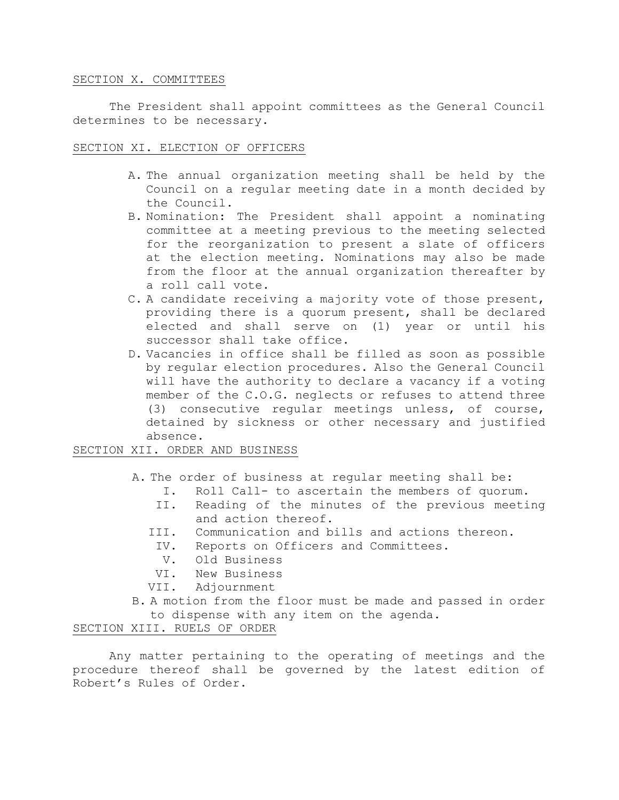#### SECTION X. COMMITTEES

 The President shall appoint committees as the General Council determines to be necessary.

## SECTION XI. ELECTION OF OFFICERS

- A. The annual organization meeting shall be held by the Council on a regular meeting date in a month decided by the Council.
- B. Nomination: The President shall appoint a nominating committee at a meeting previous to the meeting selected for the reorganization to present a slate of officers at the election meeting. Nominations may also be made from the floor at the annual organization thereafter by a roll call vote.
- C. A candidate receiving a majority vote of those present, providing there is a quorum present, shall be declared elected and shall serve on (1) year or until his successor shall take office.
- D. Vacancies in office shall be filled as soon as possible by regular election procedures. Also the General Council will have the authority to declare a vacancy if a voting member of the C.O.G. neglects or refuses to attend three (3) consecutive regular meetings unless, of course, detained by sickness or other necessary and justified absence.

# SECTION XII. ORDER AND BUSINESS

- A. The order of business at regular meeting shall be:
	- I. Roll Call- to ascertain the members of quorum.
	- II. Reading of the minutes of the previous meeting and action thereof.
	- III. Communication and bills and actions thereon.
		- IV. Reports on Officers and Committees.
		- V. Old Business
	- VI. New Business
	- VII. Adjournment
- B. A motion from the floor must be made and passed in order to dispense with any item on the agenda.

# SECTION XIII. RUELS OF ORDER

 Any matter pertaining to the operating of meetings and the procedure thereof shall be governed by the latest edition of Robert's Rules of Order.